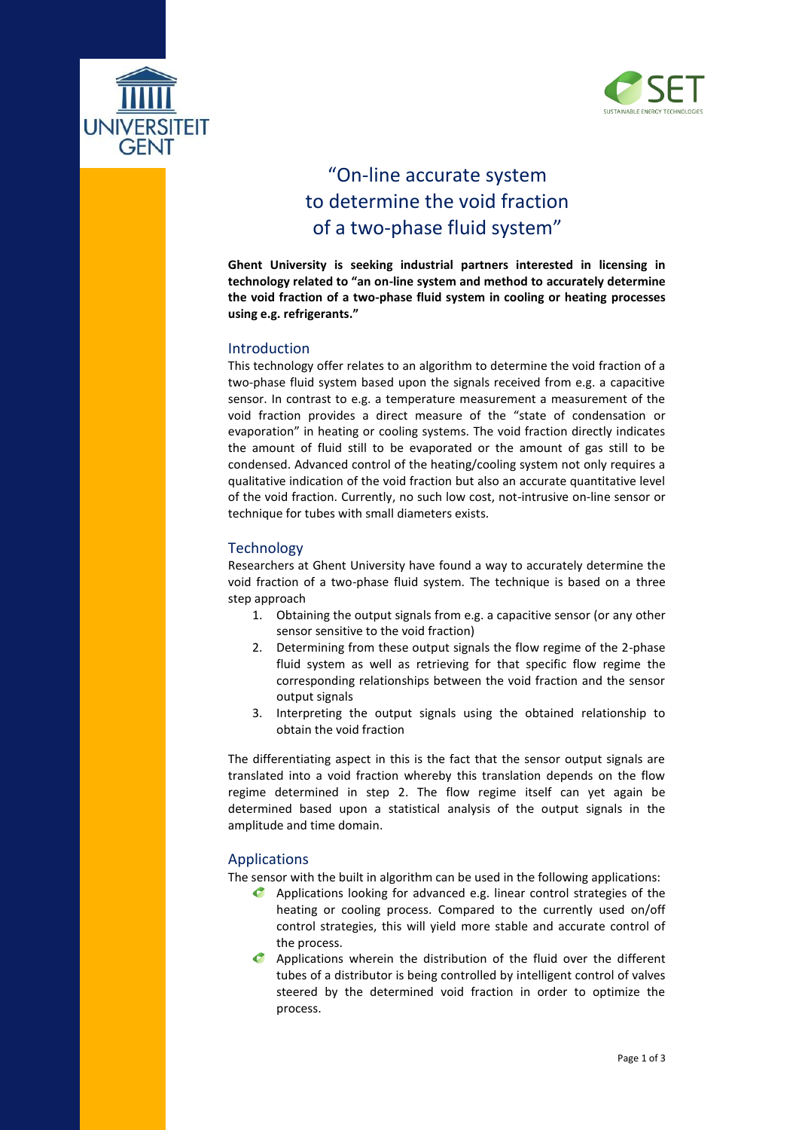



# "On -line accurate system to determine the void fraction of a two -phase fluid system "

**Ghent University is seeking industrial partners interested in licensing in technology related to "an on -line system and method to accurately determine the void fraction of a two -phase fluid system in cooling or heating processes using e.g. refrigerants."**

# Introduction

This technology offer relates to an algorithm to determine the void fraction of a two -phase fluid system based upon the signals received from e.g. a capacitive sensor. In contrast to e.g. a temperature measurement a measurement of the void fraction provides a direct measure of the "state of condensation or evaporation" in heating or cooling systems. The void fraction directly indicates the amount of fluid still to be evaporated or the amount of gas still to be condensed. Advanced control of the heating/cooling system not only requires a qualitative indication of the void fraction but also an accurate quantitative level of the void fraction. Currently, no such low cost, not -intrusive on -line sensor or technique for tubes with small diameters exists.

# **Technology**

Researchers at Ghent University have found a way to accurately determine the void fraction of a two -phase fluid system. The technique is based on a three step approach

- 1. Obtaining the output signals from e.g. a capacitive sensor (or any other sensor sensitive to the void fraction)
- 2. Determining from these output signals the flow regime of the 2 -phase fluid system as well as retrieving for that specific flow regime the corresponding relationships between the void fraction and the sensor output signals
- 3. Interpreting the output signals using the obtained relationship to obtain the void fraction

The differentiating aspect in this is the fact that the sensor output signals are translated into a void fraction whereby this translation depends on the flow regime determined in step 2. The flow regime itself can yet again be determined based upon a statistical analysis of the output signals in the amplitude and time domain .

# Applications

The sensor with the built in algorithm can be used in the following applications:

- Applications looking for advanced e.g. linear control strategies of the heating or cooling process. Compared to the currently used on/off control strategies, this will yield more stable and accurate control of the process.
- Applications wherein the distribution of the fluid over the different tubes of a distributor is being controlled by intelligent control of valves steered by the determined void fraction in order to optimize the process.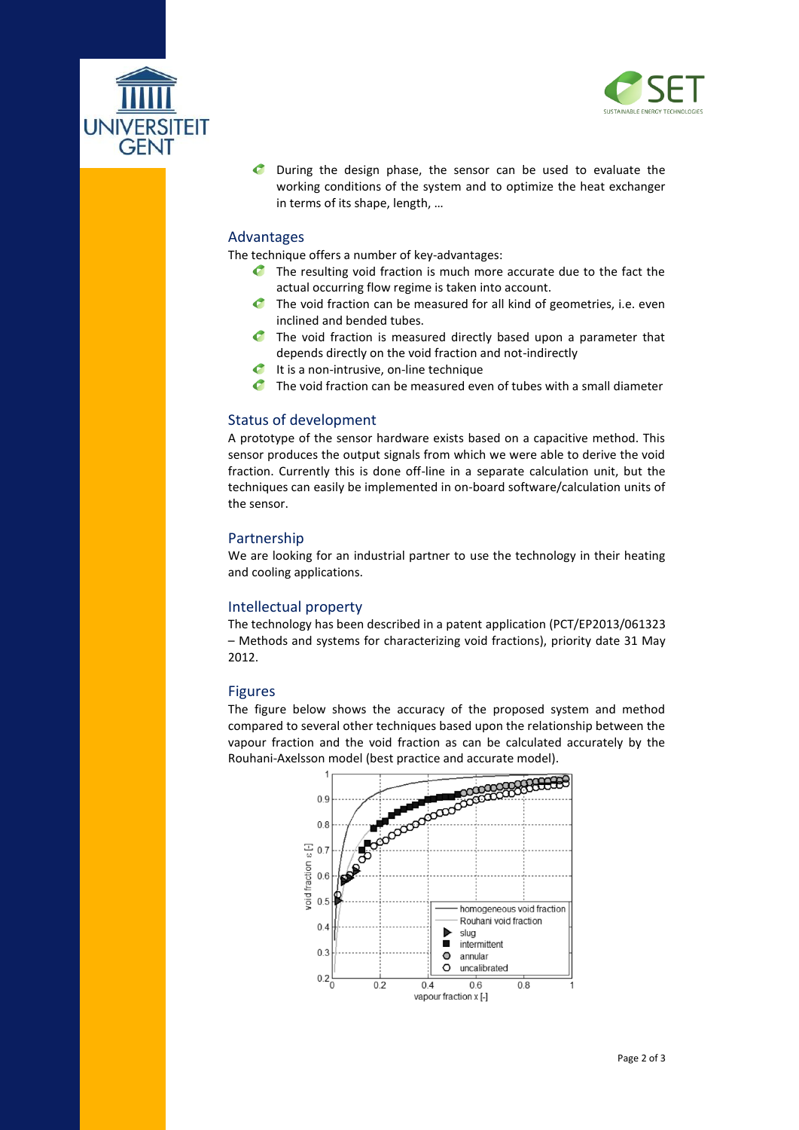



**C** During the design phase, the sensor can be used to evaluate the working conditions of the system and to optimize the heat exchanger in terms of its shape, length, …

#### Advantages

The technique offers a number of key -advantages:

- The resulting void fraction is much more accurate due to the fact the  $\bullet$ actual occurring flow regime is taken into account.
- $\mathcal C$ The void fraction can be measured for all kind of geometries, i.e. even inclined and bended tubes.
- The void fraction is measured directly based upon a parameter that depends directly on the void fraction and not -indirectly
- $\bullet$ It is a non -intrusive, on -line technique
- The void fraction can be measured even of tubes with a small diameter

# Status of development

A prototype of the sensor hardware exists based on a capacitive method. This sensor produces the output signals from which we were able to derive the void fraction. Currently this is done off -line in a separate calculation unit, but the techniques can easily be implemented in on -board software/calculation units of the sensor.

#### Partnership

We are looking for an industrial partner to use the technology in their heating and cooling applications.

# Intellectual property

The technology has been described in a patent application (PCT/EP2013/061323 – Methods and systems for characterizing void fractions ), priority date 31 May 2012 .

# Figure s

The figure below shows the accuracy of the proposed system and method compared to several other techniques based upon the relationship between the vapour fraction and the void fraction as can be calculated accurately by the Rouhani -Axelsson model (best practice and accurate model).